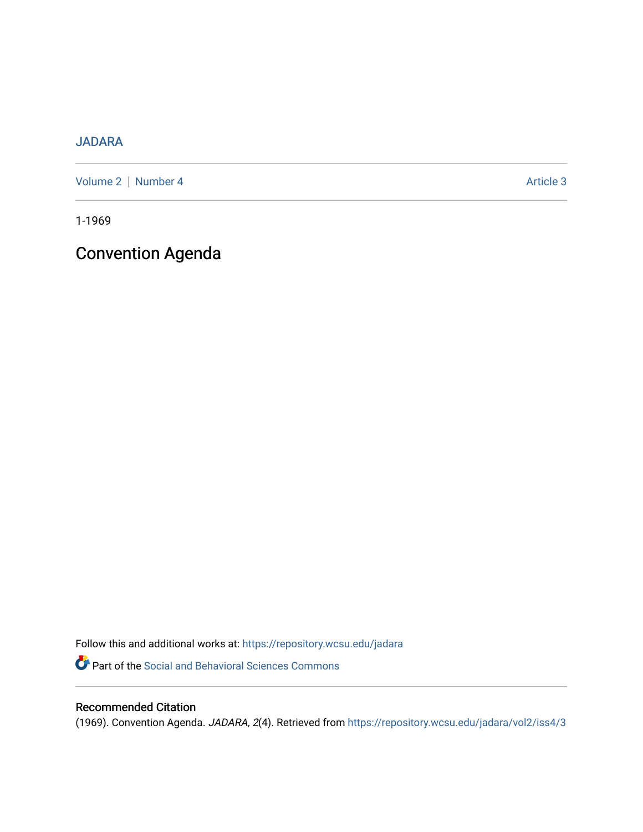### [JADARA](https://repository.wcsu.edu/jadara)

[Volume 2](https://repository.wcsu.edu/jadara/vol2) | [Number 4](https://repository.wcsu.edu/jadara/vol2/iss4) Article 3

1-1969

### Convention Agenda

Follow this and additional works at: [https://repository.wcsu.edu/jadara](https://repository.wcsu.edu/jadara?utm_source=repository.wcsu.edu%2Fjadara%2Fvol2%2Fiss4%2F3&utm_medium=PDF&utm_campaign=PDFCoverPages) Part of the [Social and Behavioral Sciences Commons](http://network.bepress.com/hgg/discipline/316?utm_source=repository.wcsu.edu%2Fjadara%2Fvol2%2Fiss4%2F3&utm_medium=PDF&utm_campaign=PDFCoverPages) 

### Recommended Citation

(1969). Convention Agenda. JADARA, 2(4). Retrieved from [https://repository.wcsu.edu/jadara/vol2/iss4/3](https://repository.wcsu.edu/jadara/vol2/iss4/3?utm_source=repository.wcsu.edu%2Fjadara%2Fvol2%2Fiss4%2F3&utm_medium=PDF&utm_campaign=PDFCoverPages)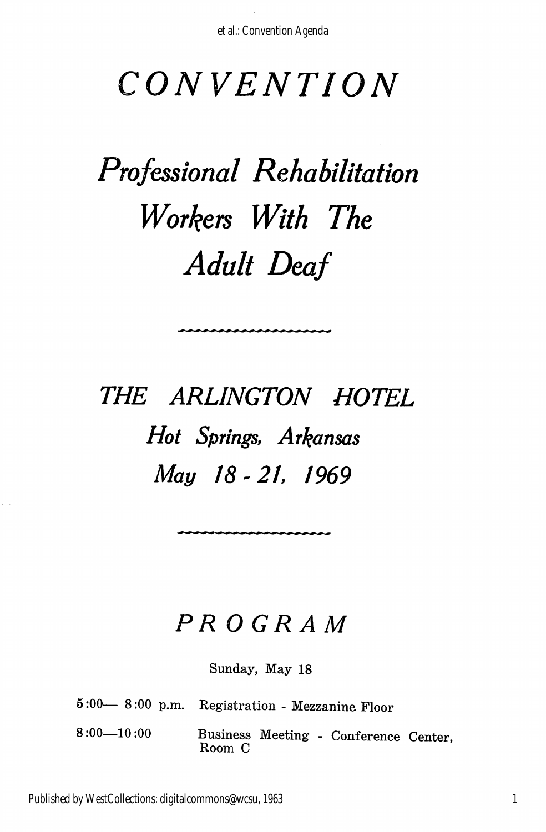## CONVENTION

# Professional Rehabilitation Workers With The Adult Deaf

## THE ARLINGTON HOTEL Hot Springs, Arkansas May 18 - 21. 1969

### PROGRAM

Sunday, May 18

5:00— 8:00 p.m. Registration - Mezzanine Floor

8:00—10:00 Business Meeting - Conference Center, Room C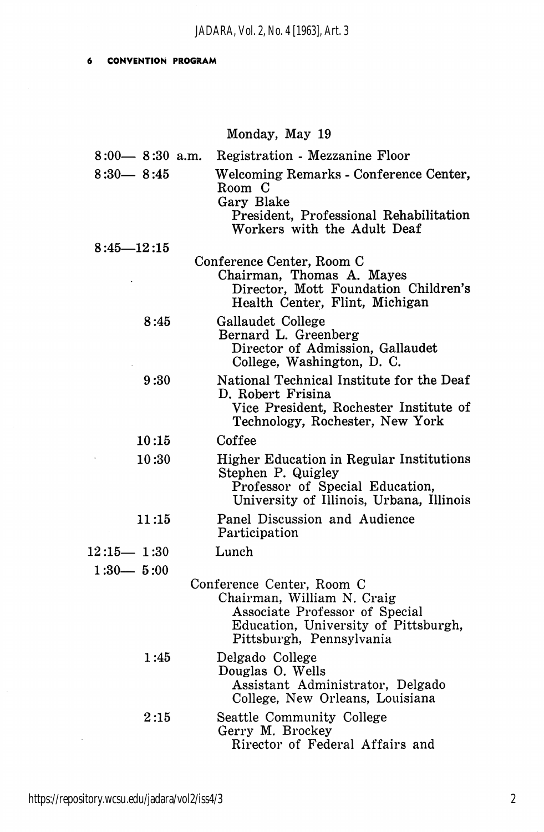#### CONVENTIOK PROGRAM  $\ddot{\bullet}$

#### Monday, May 19

| $8:00 - 8:30$ a.m. | Registration - Mezzanine Floor                                                                                                                                |
|--------------------|---------------------------------------------------------------------------------------------------------------------------------------------------------------|
| $8:30 - 8:45$      | Welcoming Remarks - Conference Center,<br>Room C<br>Gary Blake<br>President, Professional Rehabilitation<br>Workers with the Adult Deaf                       |
| $8:45 - 12:15$     |                                                                                                                                                               |
|                    | Conference Center, Room C<br>Chairman, Thomas A. Mayes<br>Director, Mott Foundation Children's<br>Health Center, Flint, Michigan                              |
| 8:45               | Gallaudet College<br>Bernard L. Greenberg<br>Director of Admission, Gallaudet<br>College, Washington, D. C.                                                   |
| 9:30               | National Technical Institute for the Deaf<br>D. Robert Frisina<br>Vice President, Rochester Institute of<br>Technology, Rochester, New York                   |
| 10:15              | Coffee                                                                                                                                                        |
| 10:30              | <b>Higher Education in Regular Institutions</b><br>Stephen P. Quigley<br>Professor of Special Education,<br>University of Illinois, Urbana, Illinois          |
| 11:15              | Panel Discussion and Audience<br>Participation                                                                                                                |
| $12:15 - 1:30$     | Lunch                                                                                                                                                         |
| $1:30 - 5:00$      |                                                                                                                                                               |
|                    | Conference Center, Room C<br>Chairman, William N. Craig<br>Associate Professor of Special<br>Education, University of Pittsburgh,<br>Pittsburgh, Pennsylvania |
| 1:45               | Delgado College<br>Douglas O. Wells<br>Assistant Administrator, Delgado<br>College, New Orleans, Louisiana                                                    |
| 2:15               | Seattle Community College<br>Gerry M. Brockey<br>Rirector of Federal Affairs and                                                                              |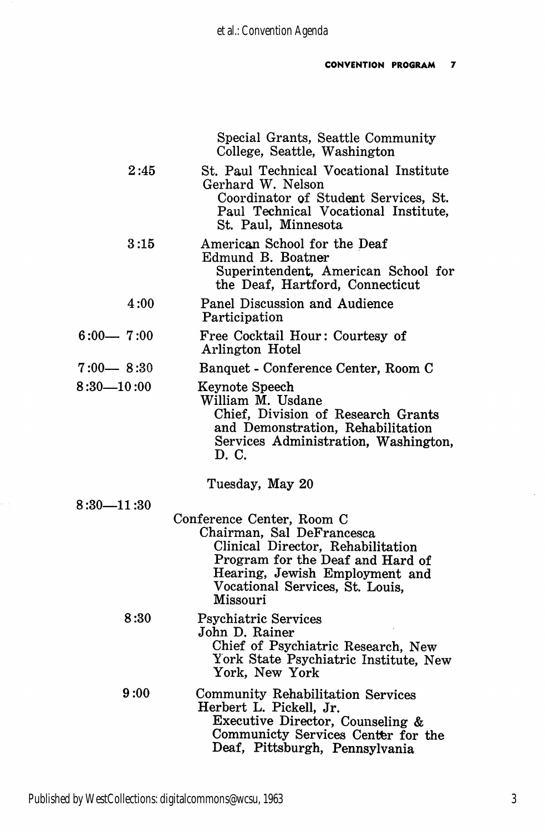|                       | Special Grants, Seattle Community<br>College, Seattle, Washington                                                                                                                                                |
|-----------------------|------------------------------------------------------------------------------------------------------------------------------------------------------------------------------------------------------------------|
| 2:45                  | St. Paul Technical Vocational Institute<br>Gerhard W. Nelson<br>Coordinator of Student Services, St.<br>Paul Technical Vocational Institute,<br>St. Paul, Minnesota                                              |
| 3:15                  | American School for the Deaf<br>Edmund B. Boatner<br>Superintendent, American School for<br>the Deaf, Hartford, Connecticut                                                                                      |
| 4:00                  | Panel Discussion and Audience<br>Participation                                                                                                                                                                   |
| $6:00 - 7:00$         | Free Cocktail Hour: Courtesy of<br>Arlington Hotel                                                                                                                                                               |
| $7:00 - 8:30$         | Banquet - Conference Center, Room C                                                                                                                                                                              |
| $8:30 - 10:00$        | Keynote Speech<br>William M. Usdane<br>Chief, Division of Research Grants<br>and Demonstration, Rehabilitation<br>Services Administration, Washington,<br>D. C.                                                  |
|                       | Tuesday, May 20                                                                                                                                                                                                  |
| $8:30\mathrm{-}11:30$ |                                                                                                                                                                                                                  |
|                       | Conference Center, Room C<br>Chairman, Sal DeFrancesca<br>Clinical Director, Rehabilitation<br>Program for the Deaf and Hard of<br>Hearing, Jewish Employment and<br>Vocational Services, St. Louis,<br>Missouri |
| 8:30                  | <b>Psychiatric Services</b><br>John D. Rainer<br>Chief of Psychiatric Research, New<br>York State Psychiatric Institute, New<br>York, New York                                                                   |
| 9:00                  | Community Rehabilitation Services<br>Herbert L. Pickell, Jr.<br>Executive Director, Counseling &<br>Communicty Services Center for the<br>Deaf, Pittsburgh, Pennsylvania                                         |